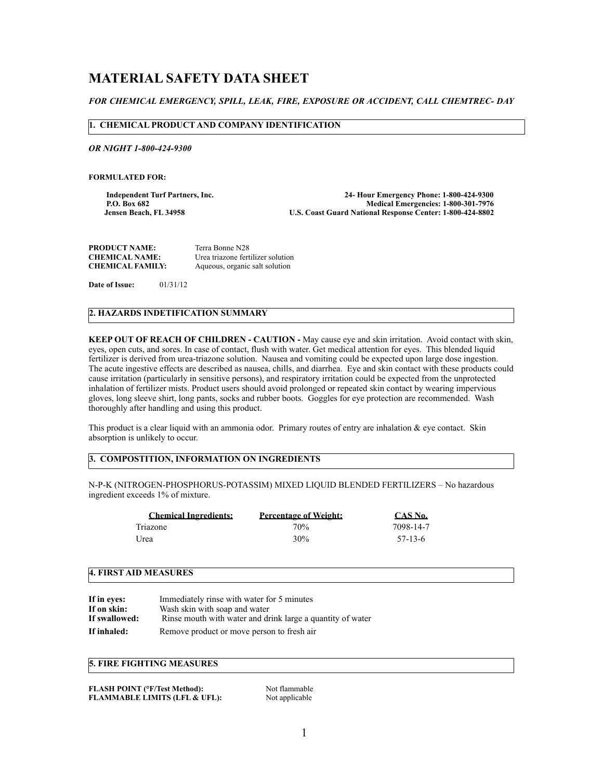# **MATERIAL SAFETY DATA SHEET**

## *FOR CHEMICAL EMERGENCY, SPILL, LEAK, FIRE, EXPOSURE OR ACCIDENT, CALL CHEMTREC- DAY*

#### **1. CHEMICAL PRODUCT AND COMPANY IDENTIFICATION**

*OR NIGHT 1-800-424-9300*

**FORMULATED FOR:** 

**Independent Turf Partners, Inc. 24- Hour Emergency Phone: 1-800-424-9300** P.O. Box 682<br>Jensen Beach, FL 34958 **Medical Emergencies: 1-800-301-7976**<br>U.S. Coast Guard National Response Center: 1-800-424-8802 **U.S. Coast Guard National Response Center: 1-800-424-8802** 

| <b>PRODUCT NAME:</b>    | Terra Bonne N28                   |
|-------------------------|-----------------------------------|
| <b>CHEMICAL NAME:</b>   | Urea triazone fertilizer solution |
| <b>CHEMICAL FAMILY:</b> | Aqueous, organic salt solution    |

**Date of Issue:** 01/31/12

# **2. HAZARDS INDETIFICATION SUMMARY**

**KEEP OUT OF REACH OF CHILDREN - CAUTION -** May cause eye and skin irritation. Avoid contact with skin, eyes, open cuts, and sores. In case of contact, flush with water. Get medical attention for eyes. This blended liquid fertilizer is derived from urea-triazone solution. Nausea and vomiting could be expected upon large dose ingestion. The acute ingestive effects are described as nausea, chills, and diarrhea. Eye and skin contact with these products could cause irritation (particularly in sensitive persons), and respiratory irritation could be expected from the unprotected inhalation of fertilizer mists. Product users should avoid prolonged or repeated skin contact by wearing impervious gloves, long sleeve shirt, long pants, socks and rubber boots. Goggles for eye protection are recommended. Wash thoroughly after handling and using this product.

This product is a clear liquid with an ammonia odor. Primary routes of entry are inhalation & eye contact. Skin absorption is unlikely to occur.

# **3. COMPOSTITION, INFORMATION ON INGREDIENTS**

N-P-K (NITROGEN-PHOSPHORUS-POTASSIM) MIXED LIQUID BLENDED FERTILIZERS – No hazardous ingredient exceeds 1% of mixture.

| <b>Chemical Ingredients:</b> | <b>Percentage of Weight:</b> | CAS No.   |
|------------------------------|------------------------------|-----------|
| Triazone                     | 70%                          | 7098-14-7 |
| Urea                         | 30%                          | 57-13-6   |

#### **4. FIRST AID MEASURES**

| If in eyes:   | Immediately rinse with water for 5 minutes                 |
|---------------|------------------------------------------------------------|
| If on skin:   | Wash skin with soap and water                              |
| If swallowed: | Rinse mouth with water and drink large a quantity of water |
| If inhaled:   | Remove product or move person to fresh air                 |

## **5. FIRE FIGHTING MEASURES**

| <b>FLASH POINT (°F/Test Method):</b>     |
|------------------------------------------|
| <b>FLAMMABLE LIMITS (LFL &amp; UFL):</b> |

**Not flammable** Not applicable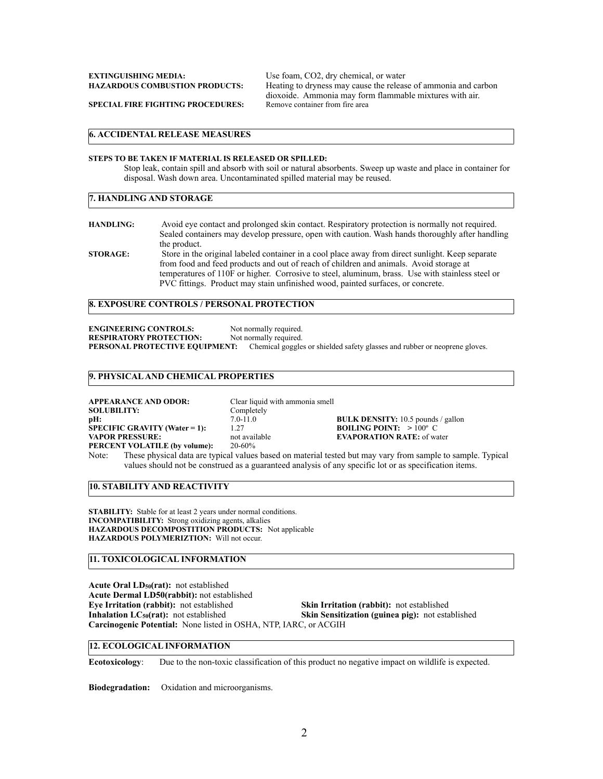Heating to dryness may cause the release of ammonia and carbon dioxoide. Ammonia may form flammable mixtures with air.

**SPECIAL FIRE FIGHTING PROCEDURES:** 

#### **6. ACCIDENTAL RELEASE MEASURES**

#### **STEPS TO BE TAKEN IF MATERIAL IS RELEASED OR SPILLED:**

Stop leak, contain spill and absorb with soil or natural absorbents. Sweep up waste and place in container for disposal. Wash down area. Uncontaminated spilled material may be reused.

#### **7. HANDLING AND STORAGE**

**HANDLING:** Avoid eye contact and prolonged skin contact. Respiratory protection is normally not required. Sealed containers may develop pressure, open with caution. Wash hands thoroughly after handling the product. **STORAGE:** Store in the original labeled container in a cool place away from direct sunlight. Keep separate

from food and feed products and out of reach of children and animals. Avoid storage at temperatures of 110F or higher. Corrosive to steel, aluminum, brass. Use with stainless steel or PVC fittings. Product may stain unfinished wood, painted surfaces, or concrete.

# **8. EXPOSURE CONTROLS / PERSONAL PROTECTION**

**ENGINEERING CONTROLS:** Not normally required.<br> **RESPIRATORY PROTECTION:** Not normally required. **RESPIRATORY PROTECTION: PERSONAL PROTECTIVE EQUIPMENT:** Chemical goggles or shielded safety glasses and rubber or neoprene gloves.

#### **9. PHYSICAL AND CHEMICAL PROPERTIES**

**APPEARANCE AND ODOR:** Clear liquid with ammonia smell<br>**SOLUBILITY:** Completely **SOLUBILITY:** Complet pH: 7.0-11.0 **SPECIFIC GRAVITY (Water = 1):** 1.27<br>**VAPOR PRESSURE:** not available **PERCENT VOLATILE (by volume):** 

**PHETER FINDENSITY:** 10.5 pounds / gallon 1.27 **BOILING POINT:** > 100° C **VAPORATION RATE:** of water  $20-60\%$ 

Note: These physical data are typical values based on material tested but may vary from sample to sample. Typical values should not be construed as a guaranteed analysis of any specific lot or as specification items.

**10. STABILITY AND REACTIVITY**

**STABILITY:** Stable for at least 2 years under normal conditions. **INCOMPATIBILITY:** Strong oxidizing agents, alkalies **HAZARDOUS DECOMPOSTITION PRODUCTS:** Not applicable **HAZARDOUS POLYMERIZTION:** Will not occur.

# **11. TOXICOLOGICAL INFORMATION**

**Acute Oral LD50(rat):** not established **Acute Dermal LD50(rabbit):** not established Eye Irritation (rabbit): not established **Skin Irritation (rabbit):** not established **Inhalation LC<sub>50</sub>(rat):** not established **Skin Sensitization (guinea pig):** not established **Carcinogenic Potential:** None listed in OSHA, NTP, IARC, or ACGIH

**12. ECOLOGICAL INFORMATION**

**Ecotoxicology**: Due to the non-toxic classification of this product no negative impact on wildlife is expected.

**Biodegradation:** Oxidation and microorganisms.